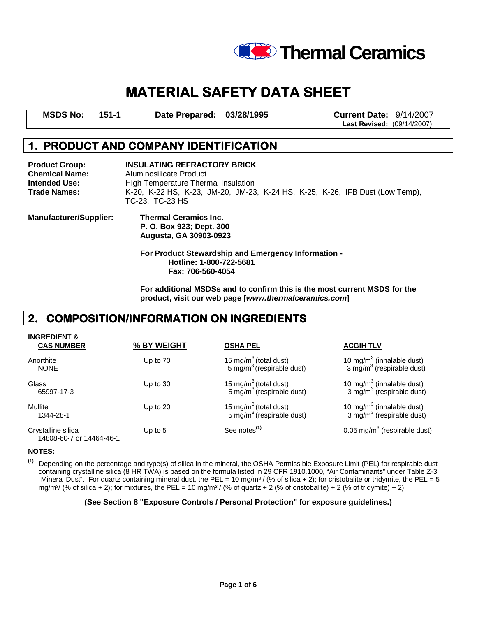

# MATERIAL SAFETY DATA SHEET

**MSDS No: 151-1 Date Prepared: 03/28/1995 Current Date:** 9/14/2007

**Last Revised:** (09/14/2007)

# 1. PRODUCT AND COMPANY IDENTIFICATION

**Product Group: INSULATING REFRACTORY BRICK Chemical Name:** Aluminosilicate Product<br> **Intended Use:** High Temperature Them **High Temperature Thermal Insulation Trade Names:** K-20, K-22 HS, K-23, JM-20, JM-23, K-24 HS, K-25, K-26, IFB Dust (Low Temp), TC-23, TC-23 HS **Manufacturer/Supplier: Thermal Ceramics Inc. P. O. Box 923; Dept. 300 Augusta, GA 30903-0923 For Product Stewardship and Emergency Information - Hotline: 1-800-722-5681** 

> **Fax: 706-560-4054 For additional MSDSs and to confirm this is the most current MSDS for the**

**product, visit our web page [www.thermalceramics.com]** 

# 2. COMPOSITION/INFORMATION ON INGREDIENTS

| <b>INGREDIENT &amp;</b><br><b>CAS NUMBER</b>   | % BY WEIGHT | <b>OSHA PEL</b>                                                            | <b>ACGIH TLV</b>                                                               |
|------------------------------------------------|-------------|----------------------------------------------------------------------------|--------------------------------------------------------------------------------|
| Anorthite<br><b>NONE</b>                       | Up to 70    | 15 mg/m <sup>3</sup> (total dust)<br>5 mg/m <sup>3</sup> (respirable dust) | 10 mg/m $3$ (inhalable dust)<br>3 mg/m <sup>3</sup> (respirable dust)          |
| Glass<br>65997-17-3                            | Up to $30$  | 15 mg/m $3$ (total dust)<br>5 mg/m <sup>3</sup> (respirable dust)          | 10 mg/m <sup>3</sup> (inhalable dust)<br>3 mg/m <sup>3</sup> (respirable dust) |
| Mullite<br>1344-28-1                           | Up to $20$  | 15 mg/m $3$ (total dust)<br>5 mg/m <sup>3</sup> (respirable dust)          | 10 mg/m $3$ (inhalable dust)<br>3 mg/m <sup>3</sup> (respirable dust)          |
| Crystalline silica<br>14808-60-7 or 14464-46-1 | Up to $5$   | See notes <sup>(1)</sup>                                                   | 0.05 mg/m <sup>3</sup> (respirable dust)                                       |

#### **NOTES:**

 **(1)** Depending on the percentage and type(s) of silica in the mineral, the OSHA Permissible Exposure Limit (PEL) for respirable dust containing crystalline silica (8 HR TWA) is based on the formula listed in 29 CFR 1910.1000, "Air Contaminants" under Table Z-3, "Mineral Dust". For quartz containing mineral dust, the PEL = 10 mg/m<sup>3</sup> / (% of silica + 2); for cristobalite or tridymite, the PEL = 5 mg/m<sup>3</sup>/ (% of silica + 2); for mixtures, the PEL = 10 mg/m<sup>3</sup>/ (% of quartz + 2 (% of cristobalite) + 2 (% of tridymite) + 2).

### **(See Section 8 "Exposure Controls / Personal Protection" for exposure guidelines.)**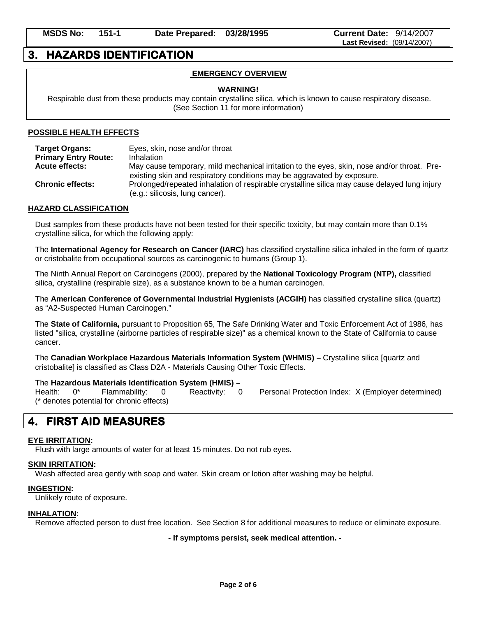# 3. HAZARDS IDENTIFICATION

# **EMERGENCY OVERVIEW**

# **WARNING!**

 Respirable dust from these products may contain crystalline silica, which is known to cause respiratory disease. (See Section 11 for more information)

### **POSSIBLE HEALTH EFFECTS**

| <b>Target Organs:</b>       | Eyes, skin, nose and/or throat                                                                                                                                         |
|-----------------------------|------------------------------------------------------------------------------------------------------------------------------------------------------------------------|
| <b>Primary Entry Route:</b> | Inhalation                                                                                                                                                             |
| <b>Acute effects:</b>       | May cause temporary, mild mechanical irritation to the eyes, skin, nose and/or throat. Pre-<br>existing skin and respiratory conditions may be aggravated by exposure. |
| <b>Chronic effects:</b>     | Prolonged/repeated inhalation of respirable crystalline silica may cause delayed lung injury<br>(e.g.: silicosis, lung cancer).                                        |

### **HAZARD CLASSIFICATION**

Dust samples from these products have not been tested for their specific toxicity, but may contain more than 0.1% crystalline silica, for which the following apply:

The **International Agency for Research on Cancer (IARC)** has classified crystalline silica inhaled in the form of quartz or cristobalite from occupational sources as carcinogenic to humans (Group 1).

The Ninth Annual Report on Carcinogens (2000), prepared by the **National Toxicology Program (NTP),** classified silica, crystalline (respirable size), as a substance known to be a human carcinogen.

The **American Conference of Governmental Industrial Hygienists (ACGIH)** has classified crystalline silica (quartz) as "A2-Suspected Human Carcinogen."

The **State of California,** pursuant to Proposition 65, The Safe Drinking Water and Toxic Enforcement Act of 1986, has listed "silica, crystalline (airborne particles of respirable size)" as a chemical known to the State of California to cause cancer.

The **Canadian Workplace Hazardous Materials Information System (WHMIS) –** Crystalline silica [quartz and cristobalite] is classified as Class D2A - Materials Causing Other Toxic Effects.

#### The **Hazardous Materials Identification System (HMIS) –**

Health: 0\* Flammability: 0 Reactivity: 0 Personal Protection Index: X (Employer determined) (\* denotes potential for chronic effects)

# 4. FIRST AID MEASURES

### **EYE IRRITATION:**

Flush with large amounts of water for at least 15 minutes. Do not rub eyes.

### **SKIN IRRITATION:**

Wash affected area gently with soap and water. Skin cream or lotion after washing may be helpful.

### **INGESTION:**

Unlikely route of exposure.

#### **INHALATION:**

Remove affected person to dust free location. See Section 8 for additional measures to reduce or eliminate exposure.

**- If symptoms persist, seek medical attention. -**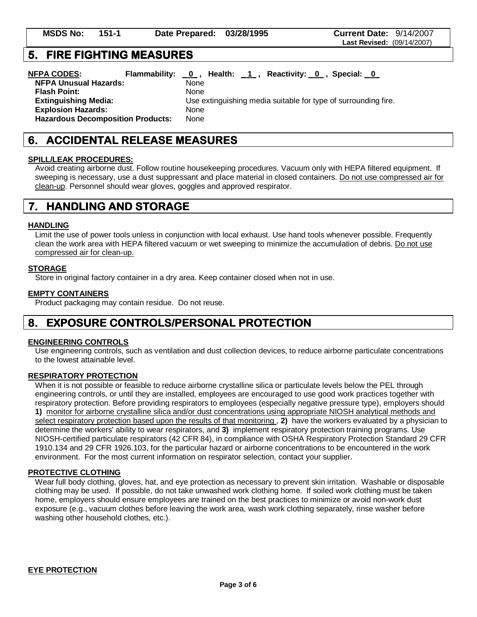# 6. ACCIDENTAL RELEASE MEASURES MEASURES

#### **SPILL/LEAK PROCEDURES:**

Avoid creating airborne dust. Follow routine housekeeping procedures. Vacuum only with HEPA filtered equipment. If sweeping is necessary, use a dust suppressant and place material in closed containers. Do not use compressed air for clean-up. Personnel should wear gloves, goggles and approved respirator.

# 7. HANDLING AND STORAGE

#### **HANDLING**

Limit the use of power tools unless in conjunction with local exhaust. Use hand tools whenever possible. Frequently clean the work area with HEPA filtered vacuum or wet sweeping to minimize the accumulation of debris. Do not use compressed air for clean-up.

#### **STORAGE**

Store in original factory container in a dry area. Keep container closed when not in use.

#### **EMPTY CONTAINERS**

Product packaging may contain residue. Do not reuse.

# 8. EXPOSURE CONTROLS/PERSONAL PROTECTION

#### **ENGINEERING CONTROLS**

Use engineering controls, such as ventilation and dust collection devices, to reduce airborne particulate concentrations to the lowest attainable level.

#### **RESPIRATORY PROTECTION**

When it is not possible or feasible to reduce airborne crystalline silica or particulate levels below the PEL through engineering controls, or until they are installed, employees are encouraged to use good work practices together with respiratory protection. Before providing respirators to employees (especially negative pressure type), employers should **1)** monitor for airborne crystalline silica and/or dust concentrations using appropriate NIOSH analytical methods and select respiratory protection based upon the results of that monitoring , **2)** have the workers evaluated by a physician to determine the workers' ability to wear respirators, and **3)** implement respiratory protection training programs. Use NIOSH-certified particulate respirators (42 CFR 84), in compliance with OSHA Respiratory Protection Standard 29 CFR 1910.134 and 29 CFR 1926.103, for the particular hazard or airborne concentrations to be encountered in the work environment. For the most current information on respirator selection, contact your supplier.

#### **PROTECTIVE CLOTHING**

Wear full body clothing, gloves, hat, and eye protection as necessary to prevent skin irritation. Washable or disposable clothing may be used. If possible, do not take unwashed work clothing home. If soiled work clothing must be taken home, employers should ensure employees are trained on the best practices to minimize or avoid non-work dust exposure (e.g., vacuum clothes before leaving the work area, wash work clothing separately, rinse washer before washing other household clothes, etc.).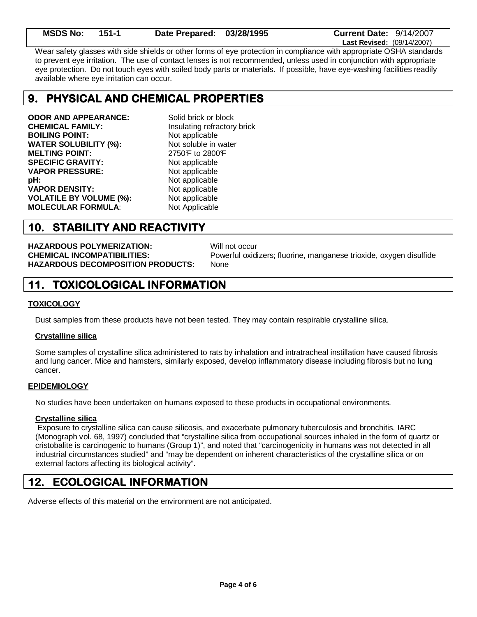| <b>MSDS No:</b> | - 151-1 | Date Prepared: 03/28/1995 | <b>Current Date: 9/14/2007</b>    |
|-----------------|---------|---------------------------|-----------------------------------|
|                 |         |                           | <b>Last Revised: (09/14/2007)</b> |

Wear safety glasses with side shields or other forms of eye protection in compliance with appropriate OSHA standards to prevent eye irritation. The use of contact lenses is not recommended, unless used in conjunction with appropriate eye protection. Do not touch eyes with soiled body parts or materials. If possible, have eye-washing facilities readily available where eye irritation can occur.

# 9. PHYSICAL AND CHEMICAL PROPERTIES

**ODOR AND APPEARANCE:** Solid brick or block **CHEMICAL FAMILY:** Insulating refractory brick **BOILING POINT:** Not applicable **WATER SOLUBILITY (%):** Not soluble in water **MELTING POINT:** 2750°F to 2800°F **SPECIFIC GRAVITY:** Not applicable **VAPOR PRESSURE:** Not applicable **pH:** Not applicable **VAPOR DENSITY:** Not applicable **VOLATILE BY VOLUME (%):** Not applicable **MOLECULAR FORMULA:** Not Applicable

# 10. STABILITY AND REACTIVITY

**HAZARDOUS POLYMERIZATION:** Will not occur **HAZARDOUS DECOMPOSITION PRODUCTS:** None

**CHEMICAL INCOMPATIBILITIES:** Powerful oxidizers; fluorine, manganese trioxide, oxygen disulfide

# **11. TOXICOLOGICAL INFORMATION**

### **TOXICOLOGY**

Dust samples from these products have not been tested. They may contain respirable crystalline silica.

### **Crystalline silica**

Some samples of crystalline silica administered to rats by inhalation and intratracheal instillation have caused fibrosis and lung cancer. Mice and hamsters, similarly exposed, develop inflammatory disease including fibrosis but no lung cancer.

### **EPIDEMIOLOGY**

No studies have been undertaken on humans exposed to these products in occupational environments.

### **Crystalline silica**

 Exposure to crystalline silica can cause silicosis, and exacerbate pulmonary tuberculosis and bronchitis. IARC (Monograph vol. 68, 1997) concluded that "crystalline silica from occupational sources inhaled in the form of quartz or cristobalite is carcinogenic to humans (Group 1)", and noted that "carcinogenicity in humans was not detected in all industrial circumstances studied" and "may be dependent on inherent characteristics of the crystalline silica or on external factors affecting its biological activity".

# 12. ECOLOGICAL INFORMATION

Adverse effects of this material on the environment are not anticipated.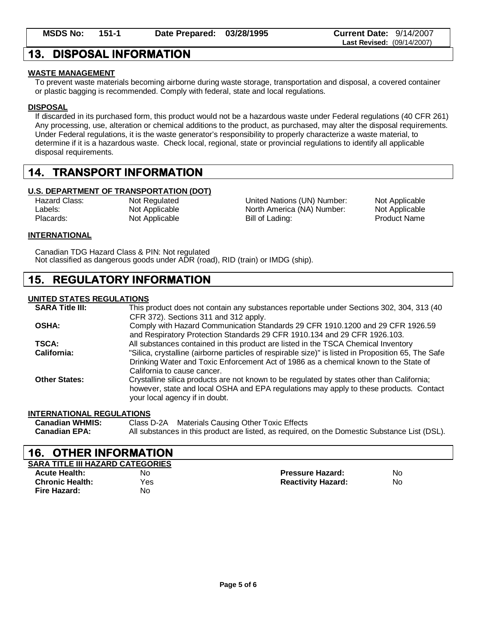# 13. DISPOSAL INFORMATION

## **WASTE MANAGEMENT**

To prevent waste materials becoming airborne during waste storage, transportation and disposal, a covered container or plastic bagging is recommended. Comply with federal, state and local regulations.

### **DISPOSAL**

If discarded in its purchased form, this product would not be a hazardous waste under Federal regulations (40 CFR 261) Any processing, use, alteration or chemical additions to the product, as purchased, may alter the disposal requirements. Under Federal regulations, it is the waste generator's responsibility to properly characterize a waste material, to determine if it is a hazardous waste. Check local, regional, state or provincial regulations to identify all applicable disposal requirements.

# 14. TRANSPORT INFORMATION

### **U.S. DEPARTMENT OF TRANSPORTATION (DOT)**

Hazard Class: Not Regulated **Not Applicable** United Nations (UN) Number: Not Applicable Labels: Not Applicable Not Applicable North America (NA) Number: Not Applicable Placards: Not Applicable Bill of Lading: Placards: Product Name

### **INTERNATIONAL**

Canadian TDG Hazard Class & PIN: Not regulated Not classified as dangerous goods under ADR (road), RID (train) or IMDG (ship).

# **15. REGULATORY INFORMATION**

## **UNITED STATES REGULATIONS**

| <b>SARA Title III:</b> | This product does not contain any substances reportable under Sections 302, 304, 313 (40            |
|------------------------|-----------------------------------------------------------------------------------------------------|
|                        | CFR 372). Sections 311 and 312 apply.                                                               |
| <b>OSHA:</b>           | Comply with Hazard Communication Standards 29 CFR 1910.1200 and 29 CFR 1926.59                      |
|                        | and Respiratory Protection Standards 29 CFR 1910.134 and 29 CFR 1926.103.                           |
| <b>TSCA:</b>           | All substances contained in this product are listed in the TSCA Chemical Inventory                  |
| California:            | "Silica, crystalline (airborne particles of respirable size)" is listed in Proposition 65, The Safe |
|                        | Drinking Water and Toxic Enforcement Act of 1986 as a chemical known to the State of                |
|                        | California to cause cancer.                                                                         |
| <b>Other States:</b>   | Crystalline silica products are not known to be regulated by states other than California;          |
|                        | however, state and local OSHA and EPA regulations may apply to these products. Contact              |
|                        | your local agency if in doubt.                                                                      |

### **INTERNATIONAL REGULATIONS**

| <b>Canadian WHMIS:</b> | Class D-2A Materials Causing Other Toxic Effects                                              |
|------------------------|-----------------------------------------------------------------------------------------------|
| <b>Canadian EPA:</b>   | All substances in this product are listed, as required, on the Domestic Substance List (DSL). |

# 16. OTHER INFORMATION

| <b>SARA TITLE III HAZARD CATEGORIES</b> |     |                           |     |  |
|-----------------------------------------|-----|---------------------------|-----|--|
| <b>Acute Health:</b>                    | No  | <b>Pressure Hazard:</b>   | No  |  |
| <b>Chronic Health:</b>                  | Yes | <b>Reactivity Hazard:</b> | No. |  |
| Fire Hazard:                            | No  |                           |     |  |